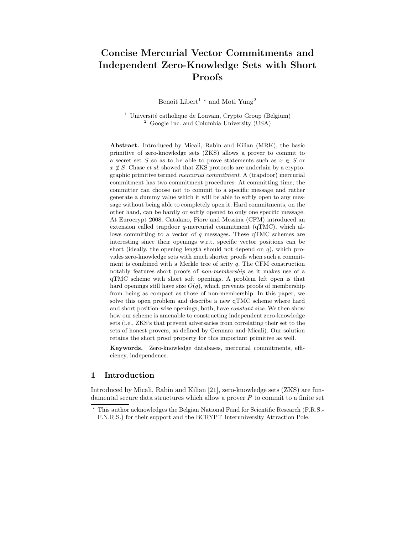# Concise Mercurial Vector Commitments and Independent Zero-Knowledge Sets with Short Proofs

Benoît Libert<sup>1</sup>  $\star$  and Moti Yung<sup>2</sup>

<sup>1</sup> Université catholique de Louvain, Crypto Group (Belgium) <sup>2</sup> Google Inc. and Columbia University (USA)

Abstract. Introduced by Micali, Rabin and Kilian (MRK), the basic primitive of zero-knowledge sets (ZKS) allows a prover to commit to a secret set S so as to be able to prove statements such as  $x \in S$  or  $x \notin S$ . Chase *et al.* showed that ZKS protocols are underlain by a cryptographic primitive termed mercurial commitment. A (trapdoor) mercurial commitment has two commitment procedures. At committing time, the committer can choose not to commit to a specific message and rather generate a dummy value which it will be able to softly open to any message without being able to completely open it. Hard commitments, on the other hand, can be hardly or softly opened to only one specific message. At Eurocrypt 2008, Catalano, Fiore and Messina (CFM) introduced an extension called trapdoor q-mercurial commitment (qTMC), which allows committing to a vector of  $q$  messages. These  $qTMC$  schemes are interesting since their openings w.r.t. specific vector positions can be short (ideally, the opening length should not depend on  $q$ ), which provides zero-knowledge sets with much shorter proofs when such a commitment is combined with a Merkle tree of arity  $q$ . The CFM construction notably features short proofs of non-membership as it makes use of a qTMC scheme with short soft openings. A problem left open is that hard openings still have size  $O(q)$ , which prevents proofs of membership from being as compact as those of non-membership. In this paper, we solve this open problem and describe a new qTMC scheme where hard and short position-wise openings, both, have constant size. We then show how our scheme is amenable to constructing independent zero-knowledge sets (i.e., ZKS's that prevent adversaries from correlating their set to the sets of honest provers, as defined by Gennaro and Micali). Our solution retains the short proof property for this important primitive as well.

Keywords. Zero-knowledge databases, mercurial commitments, efficiency, independence.

## 1 Introduction

Introduced by Micali, Rabin and Kilian [21], zero-knowledge sets (ZKS) are fundamental secure data structures which allow a prover  $P$  to commit to a finite set

<sup>⋆</sup> This author acknowledges the Belgian National Fund for Scientific Research (F.R.S.- F.N.R.S.) for their support and the BCRYPT Interuniversity Attraction Pole.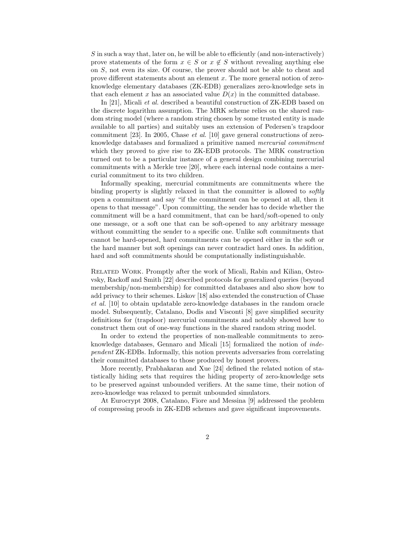S in such a way that, later on, he will be able to efficiently (and non-interactively) prove statements of the form  $x \in S$  or  $x \notin S$  without revealing anything else on S, not even its size. Of course, the prover should not be able to cheat and prove different statements about an element  $x$ . The more general notion of zeroknowledge elementary databases (ZK-EDB) generalizes zero-knowledge sets in that each element x has an associated value  $D(x)$  in the committed database.

In [21], Micali et al. described a beautiful construction of ZK-EDB based on the discrete logarithm assumption. The MRK scheme relies on the shared random string model (where a random string chosen by some trusted entity is made available to all parties) and suitably uses an extension of Pedersen's trapdoor commitment [23]. In 2005, Chase et al. [10] gave general constructions of zeroknowledge databases and formalized a primitive named mercurial commitment which they proved to give rise to ZK-EDB protocols. The MRK construction turned out to be a particular instance of a general design combining mercurial commitments with a Merkle tree [20], where each internal node contains a mercurial commitment to its two children.

Informally speaking, mercurial commitments are commitments where the binding property is slightly relaxed in that the committer is allowed to *softly* open a commitment and say "if the commitment can be opened at all, then it opens to that message". Upon committing, the sender has to decide whether the commitment will be a hard commitment, that can be hard/soft-opened to only one message, or a soft one that can be soft-opened to any arbitrary message without committing the sender to a specific one. Unlike soft commitments that cannot be hard-opened, hard commitments can be opened either in the soft or the hard manner but soft openings can never contradict hard ones. In addition, hard and soft commitments should be computationally indistinguishable.

Related Work. Promptly after the work of Micali, Rabin and Kilian, Ostrovsky, Rackoff and Smith [22] described protocols for generalized queries (beyond membership/non-membership) for committed databases and also show how to add privacy to their schemes. Liskov [18] also extended the construction of Chase et al. [10] to obtain updatable zero-knowledge databases in the random oracle model. Subsequently, Catalano, Dodis and Visconti [8] gave simplified security definitions for (trapdoor) mercurial commitments and notably showed how to construct them out of one-way functions in the shared random string model.

In order to extend the properties of non-malleable commitments to zeroknowledge databases, Gennaro and Micali [15] formalized the notion of independent ZK-EDBs. Informally, this notion prevents adversaries from correlating their committed databases to those produced by honest provers.

More recently, Prabhakaran and Xue [24] defined the related notion of statistically hiding sets that requires the hiding property of zero-knowledge sets to be preserved against unbounded verifiers. At the same time, their notion of zero-knowledge was relaxed to permit unbounded simulators.

At Eurocrypt 2008, Catalano, Fiore and Messina [9] addressed the problem of compressing proofs in ZK-EDB schemes and gave significant improvements.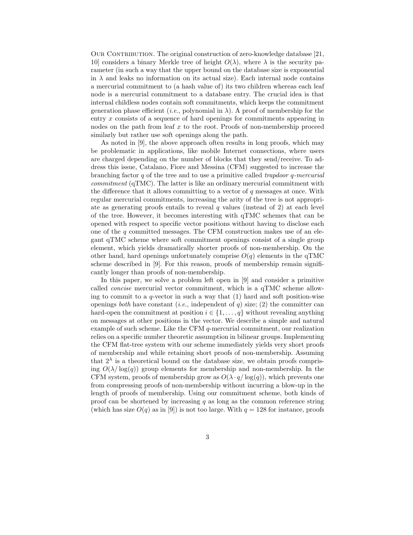OUR CONTRIBUTION. The original construction of zero-knowledge database [21, 10] considers a binary Merkle tree of height  $O(\lambda)$ , where  $\lambda$  is the security parameter (in such a way that the upper bound on the database size is exponential in  $\lambda$  and leaks no information on its actual size). Each internal node contains a mercurial commitment to (a hash value of) its two children whereas each leaf node is a mercurial commitment to a database entry. The crucial idea is that internal childless nodes contain soft commitments, which keeps the commitment generation phase efficient (i.e., polynomial in  $\lambda$ ). A proof of membership for the entry x consists of a sequence of hard openings for commitments appearing in nodes on the path from leaf  $x$  to the root. Proofs of non-membership proceed similarly but rather use soft openings along the path.

As noted in [9], the above approach often results in long proofs, which may be problematic in applications, like mobile Internet connections, where users are charged depending on the number of blocks that they send/receive. To address this issue, Catalano, Fiore and Messina (CFM) suggested to increase the branching factor  $q$  of the tree and to use a primitive called *trapdoor q-mercurial* commitment (qTMC). The latter is like an ordinary mercurial commitment with the difference that it allows committing to a vector of  $q$  messages at once. With regular mercurial commitments, increasing the arity of the tree is not appropriate as generating proofs entails to reveal  $q$  values (instead of 2) at each level of the tree. However, it becomes interesting with qTMC schemes that can be opened with respect to specific vector positions without having to disclose each one of the  $q$  committed messages. The CFM construction makes use of an elegant qTMC scheme where soft commitment openings consist of a single group element, which yields dramatically shorter proofs of non-membership. On the other hand, hard openings unfortunately comprise  $O(q)$  elements in the qTMC scheme described in [9]. For this reason, proofs of membership remain significantly longer than proofs of non-membership.

In this paper, we solve a problem left open in [9] and consider a primitive called concise mercurial vector commitment, which is a qTMC scheme allowing to commit to a  $q$ -vector in such a way that  $(1)$  hard and soft position-wise openings both have constant (*i.e.*, independent of q) size; (2) the committer can hard-open the commitment at position  $i \in \{1, \ldots, q\}$  without revealing anything on messages at other positions in the vector. We describe a simple and natural example of such scheme. Like the CFM  $q$ -mercurial commitment, our realization relies on a specific number theoretic assumption in bilinear groups. Implementing the CFM flat-tree system with our scheme immediately yields very short proofs of membership and while retaining short proofs of non-membership. Assuming that  $2^{\lambda}$  is a theoretical bound on the database size, we obtain proofs comprising  $O(\lambda/\log(q))$  group elements for membership and non-membership. In the CFM system, proofs of membership grow as  $O(\lambda \cdot q / \log(q))$ , which prevents one from compressing proofs of non-membership without incurring a blow-up in the length of proofs of membership. Using our commitment scheme, both kinds of proof can be shortened by increasing  $q$  as long as the common reference string (which has size  $O(q)$  as in [9]) is not too large. With  $q = 128$  for instance, proofs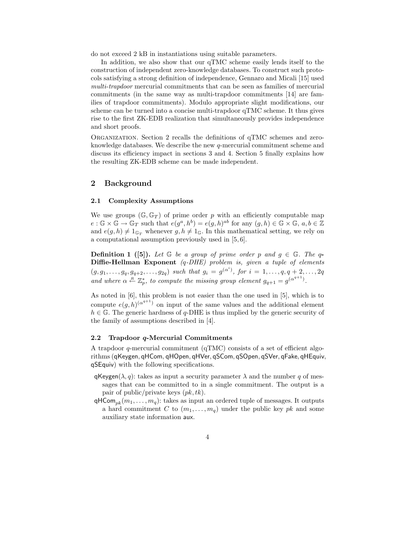do not exceed 2 kB in instantiations using suitable parameters.

In addition, we also show that our qTMC scheme easily lends itself to the construction of independent zero-knowledge databases. To construct such protocols satisfying a strong definition of independence, Gennaro and Micali [15] used multi-trapdoor mercurial commitments that can be seen as families of mercurial commitments (in the same way as multi-trapdoor commitments [14] are families of trapdoor commitments). Modulo appropriate slight modifications, our scheme can be turned into a concise multi-trapdoor qTMC scheme. It thus gives rise to the first ZK-EDB realization that simultaneously provides independence and short proofs.

Organization. Section 2 recalls the definitions of qTMC schemes and zeroknowledge databases. We describe the new q-mercurial commitment scheme and discuss its efficiency impact in sections 3 and 4. Section 5 finally explains how the resulting ZK-EDB scheme can be made independent.

### 2 Background

#### 2.1 Complexity Assumptions

We use groups  $(\mathbb{G}, \mathbb{G}_T)$  of prime order p with an efficiently computable map  $e: \mathbb{G} \times \mathbb{G} \to \mathbb{G}_T$  such that  $e(g^a, h^b) = e(g, h)^{ab}$  for any  $(g, h) \in \mathbb{G} \times \mathbb{G}$ ,  $a, b \in \mathbb{Z}$ and  $e(g, h) \neq 1_{\mathbb{G}_T}$  whenever  $g, h \neq 1_{\mathbb{G}}$ . In this mathematical setting, we rely on a computational assumption previously used in [5, 6].

**Definition 1** ([5]). Let  $\mathbb{G}$  be a group of prime order p and  $g \in \mathbb{G}$ . The q-**Diffie-Hellman Exponent** (q-DHE) problem is, given a tuple of elements  $(g, g_1, \ldots, g_q, g_{q+2}, \ldots, g_{2q})$  such that  $g_i = g^{(\alpha^i)}$ , for  $i = 1, \ldots, q, q+2, \ldots, 2q$ and where  $\alpha \stackrel{R}{\leftarrow} \mathbb{Z}_p^*$ , to compute the missing group element  $g_{q+1} = g^{(\alpha^{q+1})}$ .

As noted in [6], this problem is not easier than the one used in [5], which is to compute  $e(g, h)^{(\alpha^{q+1})}$  on input of the same values and the additional element  $h \in \mathbb{G}$ . The generic hardness of q-DHE is thus implied by the generic security of the family of assumptions described in [4].

#### 2.2 Trapdoor q-Mercurial Commitments

A trapdoor q-mercurial commitment (qTMC) consists of a set of efficient algorithms (qKeygen, qHCom, qHOpen, qHVer, qSCom, qSOpen, qSVer, qFake, qHEquiv, qSEquiv) with the following specifications.

- $qKeygen(\lambda, q)$ : takes as input a security parameter  $\lambda$  and the number q of messages that can be committed to in a single commitment. The output is a pair of public/private keys  $(pk, tk)$ .
- qHCom<sub>pk</sub> $(m_1, \ldots, m_q)$ : takes as input an ordered tuple of messages. It outputs a hard commitment C to  $(m_1, \ldots, m_q)$  under the public key pk and some auxiliary state information aux.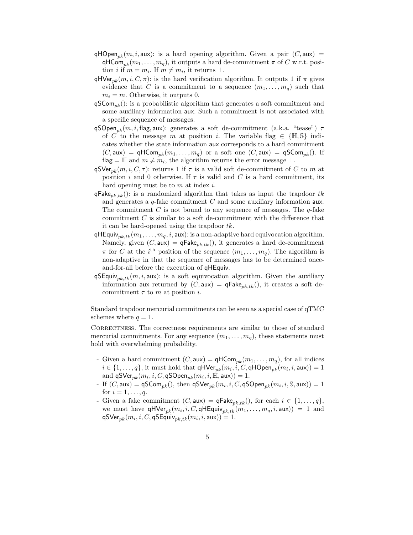- qHOpen<sub>pk</sub> $(m, i, \text{aux})$ : is a hard opening algorithm. Given a pair  $(C, \text{aux})$  = qHCom<sub>pk</sub> $(m_1, \ldots, m_q)$ , it outputs a hard de-commitment  $\pi$  of C w.r.t. position *i* if  $m = m_i$ . If  $m \neq m_i$ , it returns  $\perp$ .
- qHVer<sub>nk</sub> $(m, i, C, \pi)$ : is the hard verification algorithm. It outputs 1 if  $\pi$  gives evidence that C is a commitment to a sequence  $(m_1, \ldots, m_q)$  such that  $m_i = m$ . Otherwise, it outputs 0.
- $qSCom_{pk}$ (): is a probabilistic algorithm that generates a soft commitment and some auxiliary information aux. Such a commitment is not associated with a specific sequence of messages.
- qSOpen<sub>pk</sub> $(m, i, \text{flag}, \text{aux})$ : generates a soft de-commitment (a.k.a. "tease")  $\tau$ of C to the message m at position i. The variable flag  $\in \{\mathbb{H}, \mathbb{S}\}\$  indicates whether the state information aux corresponds to a hard commitment  $(C, \text{aux}) = \text{qHCom}_{nk}(m_1, \ldots, m_q)$  or a soft one  $(C, \text{aux}) = \text{qSCom}_{nk}(C)$ . If flag =  $\mathbb{H}$  and  $m \neq m_i$ , the algorithm returns the error message  $\bot$ .
- qSVer<sub>pk</sub> $(m, i, C, \tau)$ : returns 1 if  $\tau$  is a valid soft de-commitment of C to m at position i and 0 otherwise. If  $\tau$  is valid and C is a hard commitment, its hard opening must be to  $m$  at index  $i$ .
- $qFake_{nk,tk}():$  is a randomized algorithm that takes as input the trapdoor tk and generates a  $q$ -fake commitment  $C$  and some auxiliary information aux. The commitment  $C$  is not bound to any sequence of messages. The  $q$ -fake commitment C is similar to a soft de-commitment with the difference that it can be hard-opened using the trapdoor  $tk$ .
- qHEquiv<sub>pk,tk</sub> $(m_1, \ldots, m_q, i, \text{aux})$ : is a non-adaptive hard equivocation algorithm. Namely, given  $(C, \text{aux}) = \text{qFake}_{pk,tk}(0)$ , it generates a hard de-commitment  $\pi$  for C at the i<sup>th</sup> position of the sequence  $(m_1, \ldots, m_q)$ . The algorithm is non-adaptive in that the sequence of messages has to be determined onceand-for-all before the execution of qHEquiv.
- qSEquiv<sub>pk,tk</sub> $(m, i, \text{aux})$ : is a soft equivocation algorithm. Given the auxiliary information aux returned by  $(C, \text{aux}) = \text{qFake}_{pk,tk}(0)$ , it creates a soft decommitment  $\tau$  to m at position *i*.

Standard trapdoor mercurial commitments can be seen as a special case of qTMC schemes where  $q = 1$ .

Correctness. The correctness requirements are similar to those of standard mercurial commitments. For any sequence  $(m_1, \ldots, m_q)$ , these statements must hold with overwhelming probability.

- Given a hard commitment  $(C, \text{aux}) = \text{qHCom}_{pk}(m_1, \ldots, m_q)$ , for all indices  $i \in \{1, \ldots, q\}$ , it must hold that  $\mathsf{qHVer}_{pk}(m_i, i, C, \mathsf{qHOpen}_{pk}(m_i, i, \mathsf{aux})) = 1$ and  $\mathsf{qSVer}_{pk}(m_i, i, C, \mathsf{qSOpen}_{pk}(m_i, i, \tilde{\mathbb{H}}, \mathsf{aux})) = 1.$
- If  $(C, {\sf aux}) = {\sf qSCom}_{pk}(),\ \text{then}\ {\sf qSVer}_{pk}(m_i, i, C, {\sf qSOpen}_{pk}(m_i, i, {\mathbb{S}}, {\sf aux})) = 1$ for  $i = 1, \ldots, q$ .
- Given a fake commitment  $(C, \text{aux}) = \text{qFake}_{pk,tk}(0)$ , for each  $i \in \{1, ..., q\}$ , we must have  $\mathsf{qHVer}_{pk}(m_i, i, C, \mathsf{qHEquiv}_{pk,tk}(m_1, \dots, m_q, i, \mathsf{aux})) \ = \ 1 \ \ \text{and}$ qSVer $_{pk}(m_i, i, C, \mathsf{qSEquiv}_{pk,tk}(m_i, i, \mathsf{aux})) = 1.$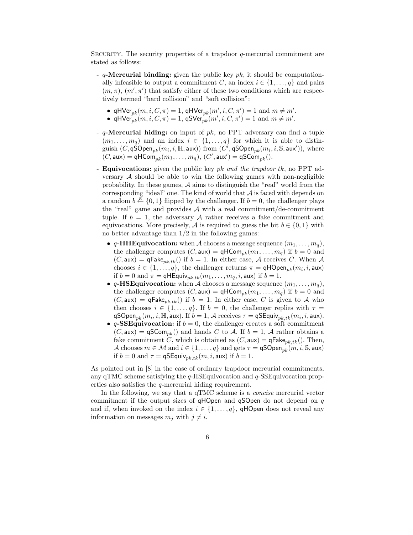SECURITY. The security properties of a trapdoor  $q$ -mercurial commitment are stated as follows:

- $q$ -Mercurial binding: given the public key  $pk$ , it should be computationally infeasible to output a commitment C, an index  $i \in \{1, \ldots, q\}$  and pairs  $(m, \pi)$ ,  $(m', \pi')$  that satisfy either of these two conditions which are respectively termed "hard collision" and "soft collision":
	- qHVer $_{pk}(m, i, C, \pi) = 1$ , qHVer $_{pk}(m', i, C, \pi') = 1$  and  $m \neq m'$ .
	- qHVer $_{pk}^{'}(m, i, C, \pi) = 1$ , qSVer $_{pk}^{'}(m', i, C, \pi') = 1$  and  $m \neq m'$ .
- $q$ -Mercurial hiding: on input of  $pk$ , no PPT adversary can find a tuple  $(m_1, \ldots, m_q)$  and an index  $i \in \{1, \ldots, q\}$  for which it is able to distinguish  $(C, \mathsf{qSOpen}_{pk}(m_i, i, \mathbb{H}, \mathsf{aux}))$  from  $(C', \mathsf{qSOpen}_{pk}(m_i, i, \mathbb{S}, \mathsf{aux}')),$  where  $(C, \mathsf{aux}) = \mathsf{qHCom}_{pk}(m_1, \dots, m_q), (C', \mathsf{aux}') = \mathsf{qSCom}_{pk}().$
- **Equivocations:** given the public key pk and the trapdoor  $tk$ , no PPT adversary  $A$  should be able to win the following games with non-negligible probability. In these games, A aims to distinguish the "real" world from the corresponding "ideal" one. The kind of world that  $A$  is faced with depends on a random  $b \stackrel{R}{\leftarrow} \{0,1\}$  flipped by the challenger. If  $b = 0$ , the challenger plays the "real" game and provides  $A$  with a real commitment/de-commitment tuple. If  $b = 1$ , the adversary A rather receives a fake commitment and equivocations. More precisely, A is required to guess the bit  $b \in \{0, 1\}$  with no better advantage than  $1/2$  in the following games:
	- q-HHEquivocation: when A chooses a message sequence  $(m_1, \ldots, m_q)$ , the challenger computes  $(C, \text{aux}) = \text{qHCom}_{pk}(m_1, \ldots, m_q)$  if  $b = 0$  and  $(C, \text{aux}) = \text{qFake}_{pk,tk}(1)$  if  $b = 1$ . In either case, A receives C. When A chooses  $i \in \{1, ..., q\}$ , the challenger returns  $\pi = \mathsf{qHOpen}_{pk}(m_i, i, \mathsf{aux})$ if  $b = 0$  and  $\pi = \text{qHEquiv}_{pk,tk}(m_1, \ldots, m_q, i, \text{aux})$  if  $b = 1$ .
	- q-HSEquivocation: when A chooses a message sequence  $(m_1, \ldots, m_q)$ , the challenger computes  $(C, \text{aux}) = \text{qHCom}_{pk}(m_1, \ldots, m_q)$  if  $b = 0$  and  $(C, \text{aux}) = \textsf{qFake}_{pk, tk}()$  if  $b = 1$ . In either case, C is given to A who then chooses  $i \in \{1, ..., q\}$ . If  $b = 0$ , the challenger replies with  $\tau =$ qSOpen $_{pk}(m_i, i, \mathbb{H}, \mathsf{aux})$ . If  $b = 1$ ,  $\mathcal{A}$  receives  $\tau = \mathsf{qSE}$ quiv $_{pk, tk}(m_i, i, \mathsf{aux})$ .
	- $q$ -SSEquivocation: if  $b = 0$ , the challenger creates a soft commitment  $(C, \text{aux}) = \text{qSCom}_{pk}()$  and hands C to A. If  $b = 1$ , A rather obtains a fake commitment C, which is obtained as  $(C, \text{aux}) = \text{qFake}_{nk,tk}($ . Then, A chooses  $m \in \mathcal{M}$  and  $i \in \{1, ..., q\}$  and gets  $\tau = \mathsf{qSOpen}_{pk}(m, i, \mathbb{S}, \mathsf{aux})$ if  $b = 0$  and  $\tau = \text{qSEquiv}_{pk,tk}(m, i, \text{aux})$  if  $b = 1$ .

As pointed out in [8] in the case of ordinary trapdoor mercurial commitments, any qTMC scheme satisfying the q-HSEquivocation and q-SSEquivocation properties also satisfies the q-mercurial hiding requirement.

In the following, we say that a qTMC scheme is a concise mercurial vector commitment if the output sizes of  $qHO$ pen and  $qSO$ pen do not depend on q and if, when invoked on the index  $i \in \{1, \ldots, q\}$ , qHOpen does not reveal any information on messages  $m_i$  with  $j \neq i$ .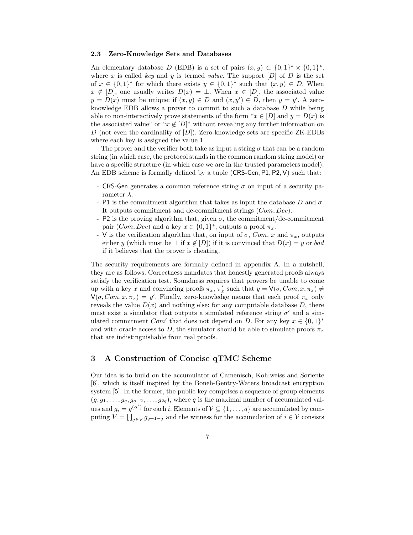#### 2.3 Zero-Knowledge Sets and Databases

An elementary database D (EDB) is a set of pairs  $(x, y) \subset \{0, 1\}^* \times \{0, 1\}^*$ , where x is called key and y is termed value. The support  $[D]$  of D is the set of  $x \in \{0,1\}^*$  for which there exists  $y \in \{0,1\}^*$  such that  $(x,y) \in D$ . When  $x \notin [D]$ , one usually writes  $D(x) = \bot$ . When  $x \in [D]$ , the associated value  $y = D(x)$  must be unique: if  $(x, y) \in D$  and  $(x, y') \in D$ , then  $y = y'$ . A zeroknowledge EDB allows a prover to commit to such a database D while being able to non-interactively prove statements of the form " $x \in [D]$  and  $y = D(x)$  is the associated value" or " $x \notin [D]$ " without revealing any further information on D (not even the cardinality of  $[D]$ ). Zero-knowledge sets are specific ZK-EDBs where each key is assigned the value 1.

The prover and the verifier both take as input a string  $\sigma$  that can be a random string (in which case, the protocol stands in the common random string model) or have a specific structure (in which case we are in the trusted parameters model). An EDB scheme is formally defined by a tuple (CRS-Gen, P1, P2, V) such that:

- CRS-Gen generates a common reference string  $\sigma$  on input of a security parameter  $\lambda$ .
- P1 is the commitment algorithm that takes as input the database D and  $\sigma$ . It outputs commitment and de-commitment strings (Com, Dec).
- P2 is the proving algorithm that, given  $\sigma$ , the commitment/de-commitment pair  $(Com, Dec)$  and a key  $x \in \{0,1\}^*$ , outputs a proof  $\pi_x$ .
- V is the verification algorithm that, on input of  $\sigma$ , Com, x and  $\pi_x$ , outputs either y (which must be  $\perp$  if  $x \notin [D]$ ) if it is convinced that  $D(x) = y$  or bad if it believes that the prover is cheating.

The security requirements are formally defined in appendix A. In a nutshell, they are as follows. Correctness mandates that honestly generated proofs always satisfy the verification test. Soundness requires that provers be unable to come up with a key x and convincing proofs  $\pi_x$ ,  $\pi'_x$  such that  $y = \mathsf{V}(\sigma, Com, x, \pi_x) \neq$  $\nabla(\sigma, Com, x, \pi_x) = y'$ . Finally, zero-knowledge means that each proof  $\pi_x$  only reveals the value  $D(x)$  and nothing else: for any computable database D, there must exist a simulator that outputs a simulated reference string  $\sigma'$  and a simulated commitment  $Com'$  that does not depend on D. For any key  $x \in \{0,1\}^*$ and with oracle access to D, the simulator should be able to simulate proofs  $\pi_x$ that are indistinguishable from real proofs.

## 3 A Construction of Concise qTMC Scheme

Our idea is to build on the accumulator of Camenisch, Kohlweiss and Soriente [6], which is itself inspired by the Boneh-Gentry-Waters broadcast encryption system [5]. In the former, the public key comprises a sequence of group elements  $(g, g_1, \ldots, g_q, g_{q+2}, \ldots, g_{2q})$ , where q is the maximal number of accumulated values and  $g_i = g^{(\alpha^i)}$  for each i. Elements of  $\mathcal{V} \subseteq \{1, \ldots, q\}$  are accumulated by computing  $V = \prod_{j \in \mathcal{V}} g_{q+1-j}$  and the witness for the accumulation of  $i \in \mathcal{V}$  consists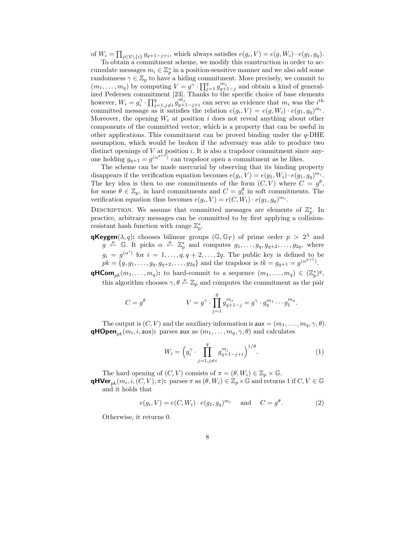of  $W_i = \prod_{j \in \mathcal{V} \setminus \{i\}} g_{q+1-j+i}$ , which always satisfies  $e(g_i, V) = e(g, W_i) \cdot e(g_1, g_q)$ .

To obtain a commitment scheme, we modify this construction in order to accumulate messages  $m_i \in \mathbb{Z}_p^*$  in a position-sensitive manner and we also add some randomness  $\gamma \in \mathbb{Z}_p$  to have a hiding commitment. More precisely, we commit to  $(m_1, \ldots, m_q)$  by computing  $V = g^{\gamma} \cdot \prod_{j=1}^q g_{q+1-j}^{m_j}$  and obtain a kind of generalized Pedersen commitment [23]. Thanks to the specific choice of base elements however,  $W_i = g_i^{\gamma} \cdot \prod_{j=1, j\neq i}^q g_{q+1-j+i}^{m_j}$  can serve as evidence that  $m_i$  was the  $i^{\text{th}}$ committed message as it satisfies the relation  $e(g_i, V) = e(g, W_i) \cdot e(g_1, g_q)^{m_i}$ . Moreover, the opening  $W_i$  at position i does not reveal anything about other components of the committed vector, which is a property that can be useful in other applications. This commitment can be proved binding under the  $q$ -DHE assumption, which would be broken if the adversary was able to produce two distinct openings of  $V$  at position  $i$ . It is also a trapdoor commitment since anyone holding  $g_{q+1} = g^{(\alpha^{q+1})}$  can trapdoor open a commitment as he likes.

The scheme can be made mercurial by observing that its binding property disappears if the verification equation becomes  $e(g_i, V) = e(g_1, W_i) \cdot e(g_1, g_q)^{m_i}$ . The key idea is then to use commitments of the form  $(C, V)$  where  $C = g^{\theta}$ , for some  $\theta \in \mathbb{Z}_p$ , in hard commitments and  $C = g_1^{\theta}$  in soft commitments. The verification equation thus becomes  $e(g_i, V) = e(C, W_i) \cdot e(g_1, g_q)^{m_i}$ .

DESCRIPTION. We assume that committed messages are elements of  $\mathbb{Z}_p^*$ . In practice, arbitrary messages can be committed to by first applying a collisionresistant hash function with range  $\mathbb{Z}_p^*$ .

**qKeygen**( $\lambda$ , q): chooses bilinear groups ( $\mathbb{G}, \mathbb{G}_T$ ) of prime order  $p > 2^{\lambda}$  and  $g \stackrel{R}{\leftarrow} \mathbb{G}$ . It picks  $\alpha \stackrel{R}{\leftarrow} \mathbb{Z}_p^*$  and computes  $g_1, \ldots, g_q, g_{q+2}, \ldots, g_{2q}$ , where  $g_i = g^{(\alpha^i)}$  for  $i = 1, \ldots, q, q + 2, \ldots, 2q$ . The public key is defined to be  $pk = \{g, g_1, \ldots, g_q, g_{q+2}, \ldots, g_{2q}\}\$ and the trapdoor is  $tk = g_{q+1} = g^{(\alpha^{q+1})}.$ 

**qHCom**<sub>pk</sub> $(m_1, \ldots, m_q)$ : to hard-commit to a sequence  $(m_1, \ldots, m_q) \in (\mathbb{Z}_p^*)^q$ , this algorithm chooses  $\gamma, \theta \stackrel{R}{\leftarrow} \mathbb{Z}_p$  and computes the commitment as the pair

$$
C = g^{\theta} \qquad V = g^{\gamma} \cdot \prod_{j=1}^{q} g_{q+1-j}^{m_j} = g^{\gamma} \cdot g_q^{m_1} \cdots g_1^{m_q}.
$$

The output is  $(C, V)$  and the auxiliary information is  $aux = (m_1, \ldots, m_q, \gamma, \theta)$ . **qHOpen** $_{pk}(m_i, i, \textsf{aux})$ : parses aux as  $(m_1, \ldots, m_q, \gamma, \theta)$  and calculates

$$
W_i = \left( g_i^{\gamma} \cdot \prod_{j=1, j \neq i}^{q} g_{q+1-j+i}^{m_j} \right)^{1/\theta}.
$$
 (1)

The hard opening of  $(C, V)$  consists of  $\pi = (\theta, W_i) \in \mathbb{Z}_p \times \mathbb{G}$ .  $\mathsf{qHVer}_{pk}(m_i, i, (C, V), \pi)$ : parses  $\pi$  as  $(\theta, W_i) \in \mathbb{Z}_p \times \mathbb{G}$  and returns 1 if  $C, V \in \mathbb{G}$ and it holds that

$$
e(g_i, V) = e(C, W_i) \cdot e(g_1, g_q)^{m_i} \quad \text{and} \quad C = g^{\theta}.
$$
 (2)

Otherwise, it returns 0.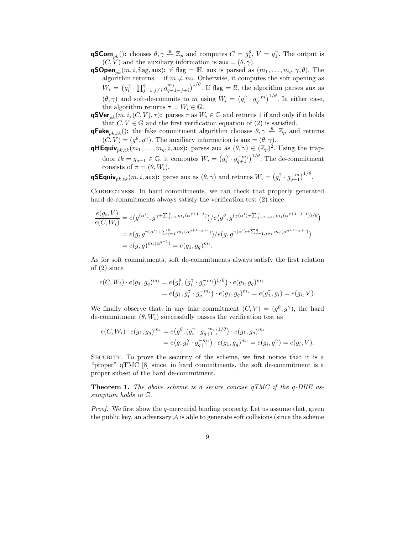- **qSCom**<sub>pk</sub>(): chooses  $\theta, \gamma \stackrel{R}{\leftarrow} \mathbb{Z}_p$  and computes  $C = g_1^{\theta}, V = g_1^{\gamma}$ . The output is  $(C, V)$  and the auxiliary information is  $aux = (\theta, \gamma)$ .
- **qSOpen**<sub>pk</sub> $(m, i, \text{flag}, \text{aux})$ : if flag =  $\mathbb{H}$ , aux is parsed as  $(m_1, \ldots, m_q, \gamma, \theta)$ . The algorithm returns  $\perp$  if  $m \neq m_i$ . Otherwise, it computes the soft opening as  $W_i\,=\,\big(g_i^\gamma\cdot\prod_{j=1,j\neq i}^q g_{q+1-j+i}^{m_j}\big)^{1/\theta}.$  If flag  $=\,\mathbb{S},$  the algorithm parses aux as  $(\theta, \gamma)$  and soft-de-commits to m using  $W_i = (g_i^{\gamma} \cdot g_q^{-m})^{1/\theta}$ . In either case, the algorithm returns  $\tau = W_i \in \mathbb{G}$ .
- **qSVer**<sub>nk</sub> $(m, i, (C, V), \tau)$ : parses  $\tau$  as  $W_i \in \mathbb{G}$  and returns 1 if and only if it holds that  $C, V \in \mathbb{G}$  and the first verification equation of (2) is satisfied.
- **qFake**<sub>nk,tk</sub>(): the fake commitment algorithm chooses  $\theta$ ,  $\gamma \stackrel{R}{\leftarrow} \mathbb{Z}_p$  and returns  $(C, V) = (g^{\theta}, g^{\gamma})$ . The auxiliary information is  $aux = (\theta, \gamma)$ .
- **qHEquiv**<sub>pk,tk</sub>(m<sub>1</sub>,...,m<sub>q</sub>,*i*,aux): parses aux as  $(\theta, \gamma) \in (\mathbb{Z}_p)^2$ . Using the trapdoor  $tk = g_{q+1} \in \mathbb{G}$ , it computes  $W_i = (g_i^{\gamma} \cdot g_{q+1}^{-m_i})^{1/\theta}$ . The de-commitment consists of  $\pi = (\theta, W_i)$ .

**qSEquiv** $_{pk,tk}(m,i,$  aux): parse aux as  $(\theta, \gamma)$  and returns  $W_i = \left(g_i^{\gamma} \cdot g_{q+1}^{-m}\right)^{1/\theta}$ .

CORRECTNESS. In hard commitments, we can check that properly generated hard de-commitments always satisfy the verification test (2) since

$$
\frac{e(g_i, V)}{e(C, W_i)} = e(g^{(\alpha^i)}, g^{\gamma + \sum_{j=1}^q m_j(\alpha^{q+1-j})})/e(g^{\theta}, g^{(\gamma(\alpha^i) + \sum_{j=1, j\neq i}^q m_j(\alpha^{q+1-j+i}))/\theta})
$$
  
=  $e(g, g^{\gamma(\alpha^i) + \sum_{j=1}^q m_j(\alpha^{q+1-j+i})})/e(g, g^{\gamma(\alpha^i) + \sum_{j=1, j\neq i}^q m_j(\alpha^{q+1-j+i})})$   
=  $e(g, g)^{m_i(\alpha^{q+1})} = e(g_1, g_q)^{m_i}.$ 

As for soft commitments, soft de-commitments always satisfy the first relation of (2) since

$$
e(C, W_i) \cdot e(g_1, g_q)^{m_i} = e(g_1^{\theta}, (g_i^{\gamma} \cdot g_q^{-m_i})^{1/\theta}) \cdot e(g_1, g_q)^{m_i}
$$
  
= 
$$
e(g_1, g_i^{\gamma} \cdot g_q^{-m_i}) \cdot e(g_1, g_q)^{m_i} = e(g_1^{\gamma}, g_i) = e(g_i, V).
$$

We finally observe that, in any fake commitment  $(C, V) = (g^{\theta}, g^{\gamma})$ , the hard de-commitment  $(\theta, W_i)$  successfully passes the verification test as

$$
e(C, W_i) \cdot e(g_1, g_q)^{m_i} = e(g^{\theta}, (g_i^{\gamma} \cdot g_{q+1}^{-m_i})^{1/\theta}) \cdot e(g_1, g_q)^{m_i}
$$
  
= 
$$
e(g, g_i^{\gamma} \cdot g_{q+1}^{-m_i}) \cdot e(g_1, g_q)^{m_i} = e(g_i, g^{\gamma}) = e(g_i, V).
$$

Security. To prove the security of the scheme, we first notice that it is a "proper" qTMC [8] since, in hard commitments, the soft de-commitment is a proper subset of the hard de-commitment.

**Theorem 1.** The above scheme is a secure concise  $qTMC$  if the  $q-DHE$  assumption holds in G.

*Proof.* We first show the  $q$ -mercurial binding property. Let us assume that, given the public key, an adversary  $A$  is able to generate soft collisions (since the scheme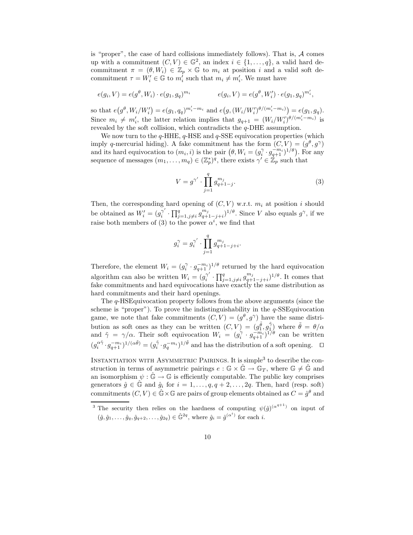is "proper", the case of hard collisions immediately follows). That is,  $A$  comes up with a commitment  $(C, V) \in \mathbb{G}^2$ , an index  $i \in \{1, \ldots, q\}$ , a valid hard decommitment  $\pi = (\theta, W_i) \in \mathbb{Z}_p \times \mathbb{G}$  to  $m_i$  at position i and a valid soft decommitment  $\tau = W'_i \in \mathbb{G}$  to  $m'_i$  such that  $m_i \neq m'_i$ . We must have

$$
e(g_i, V) = e(g^{\theta}, W_i) \cdot e(g_1, g_q)^{m_i} \qquad \qquad e(g_i, V) = e(g^{\theta}, W'_i) \cdot e(g_1, g_q)^{m'_i},
$$

so that  $e(g^{\theta}, W_i/W_i') = e(g_1, q_q)^{m'_i - m_i}$  and  $e(g, (W_i/W_i')^{\theta/(m'_i - m_i)}) = e(g_1, g_q)$ . Since  $m_i \neq m'_i$ , the latter relation implies that  $g_{q+1} = (W_i/W'_i)^{\theta/(m'_i-m_i)}$  is revealed by the soft collision, which contradicts the q-DHE assumption.

We now turn to the  $q$ -HHE,  $q$ -HSE and  $q$ -SSE equivocation properties (which imply q-mercurial hiding). A fake commitment has the form  $(C, V) = (g^{\theta}, g^{\gamma})$ and its hard equivocation to  $(m_i, i)$  is the pair  $(\theta, W_i = (g_i^{\gamma} \cdot g_{q+1}^{-m_i})^{1/\theta})$ . For any sequence of messages  $(m_1, \ldots, m_q) \in (\mathbb{Z}_p^*)^q$ , there exists  $\gamma' \in \mathbb{Z}_p$  such that

$$
V = g^{\gamma'} \cdot \prod_{j=1}^{q} g_{q+1-j}^{m_j}.
$$
 (3)

Then, the corresponding hard opening of  $(C, V)$  w.r.t.  $m_i$  at position i should be obtained as  $W_i' = (g_i^{\gamma'}$  $\int_i^{\gamma'} \cdot \prod_{j=1, j\neq i}^q g_{q+1-j+i}^{m_j}$ <sup>1/θ</sup>. Since V also equals  $g^{\gamma}$ , if we raise both members of (3) to the power  $\alpha^i$ , we find that

$$
g_i^{\gamma} = g_i^{\gamma'} \cdot \prod_{j=1}^q g_{q+1-j+i}^{m_j}.
$$

Therefore, the element  $W_i = (g_i^{\gamma} \cdot g_{q+1}^{-m_i})^{1/\theta}$  returned by the hard equivocation algorithm can also be written  $W_i = (g_i^{\gamma'}$  $\int_i^{\gamma'} \cdot \prod_{j=1,j\neq i}^q g_{q+1-j+i}^{m_j}$ )<sup>1/θ</sup>. It comes that fake commitments and hard equivocations have exactly the same distribution as hard commitments and their hard openings.

The q-HSEquivocation property follows from the above arguments (since the scheme is "proper"). To prove the indistinguishability in the  $q$ -SSE quivocation game, we note that fake commitments  $(C, V) = (g^{\theta}, g^{\gamma})$  have the same distribution as soft ones as they can be written  $(C, V) = (g_1^{\tilde{\theta}}, g_1^{\tilde{\gamma}})$  where  $\tilde{\theta} = \theta/\alpha$ and  $\tilde{\gamma} = \gamma/\alpha$ . Their soft equivocation  $W_i = (g_i^{\gamma} \cdot g_{q+1}^{-m_i})^{1/\theta}$  can be written  $(g_i^{\alpha \tilde{\gamma}} \cdot g_{q+1}^{-m_i})^{1/(\alpha \tilde{\theta})} = (g_i^{\tilde{\gamma}} \cdot g_q^{-m_i})^{1/\tilde{\theta}}$  and has the distribution of a soft opening.  $\Box$ 

INSTANTIATION WITH ASYMMETRIC PAIRINGS. It is simple<sup>3</sup> to describe the construction in terms of asymmetric pairings  $e : \mathbb{G} \times \hat{\mathbb{G}} \to \mathbb{G}_T$ , where  $\mathbb{G} \neq \hat{\mathbb{G}}$  and an isomorphism  $\psi : \hat{\mathbb{G}} \to \mathbb{G}$  is efficiently computable. The public key comprises generators  $\hat{g} \in \mathbb{G}$  and  $\hat{g}_i$  for  $i = 1, \ldots, q, q + 2, \ldots, 2q$ . Then, hard (resp. soft) commitments  $(C, V) \in \hat{\mathbb{G}} \times \mathbb{G}$  are pairs of group elements obtained as  $C = \hat{g}^{\theta}$  and

<sup>&</sup>lt;sup>3</sup> The security then relies on the hardness of computing  $\psi(\hat{g})^{(\alpha^{q+1})}$  on input of  $(\hat{g}, \hat{g}_1, \dots, \hat{g}_q, \hat{g}_{q+2}, \dots, \hat{g}_{2q}) \in \hat{\mathbb{G}}^{2q}$ , where  $\hat{g}_i = \hat{g}^{(\alpha^i)}$  for each *i*.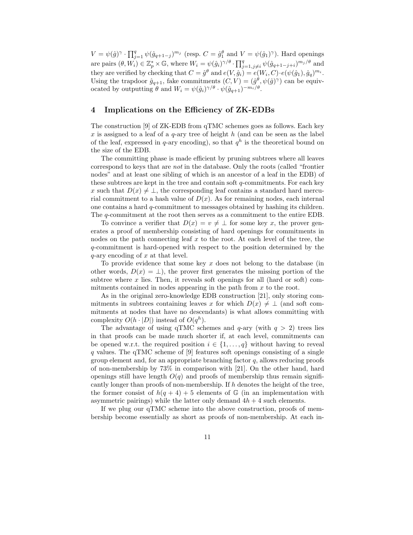$V = \psi(\hat{g})^{\gamma} \cdot \prod_{j=1}^{q} \psi(\hat{g}_{q+1-j})^{m_j}$  (resp.  $C = \hat{g}_1^{\theta}$  and  $V = \psi(\hat{g}_1)^{\gamma}$ ). Hard openings are pairs  $(\theta, W_i) \in \mathbb{Z}_p^* \times \mathbb{G}$ , where  $W_i = \psi(\hat{g}_i)^{\gamma/\theta} \cdot \prod_{j=1, j \neq i}^q \psi(\hat{g}_{q+1-j+i})^{m_j/\theta}$  and they are verified by checking that  $C = \hat{g}^{\theta}$  and  $e(V, \hat{g}_i) = e(W_i, C) \cdot e(\psi(\hat{g}_1), \hat{g}_q)^{m_i}$ . Using the trapdoor  $\hat{g}_{q+1}$ , fake commitments  $(C, V) = (\hat{g}^{\theta}, \psi(\hat{g})^{\gamma})$  can be equivocated by outputting  $\theta$  and  $W_i = \psi(\hat{g}_i)^{\gamma/\theta} \cdot \psi(\hat{g}_{q+1})^{-m_i/\theta}$ .

### 4 Implications on the Efficiency of ZK-EDBs

The construction [9] of ZK-EDB from qTMC schemes goes as follows. Each key x is assigned to a leaf of a  $q$ -ary tree of height h (and can be seen as the label of the leaf, expressed in q-ary encoding), so that  $q^h$  is the theoretical bound on the size of the EDB.

The committing phase is made efficient by pruning subtrees where all leaves correspond to keys that are not in the database. Only the roots (called "frontier nodes" and at least one sibling of which is an ancestor of a leaf in the EDB) of these subtrees are kept in the tree and contain soft q-commitments. For each key x such that  $D(x) \neq \perp$ , the corresponding leaf contains a standard hard mercurial commitment to a hash value of  $D(x)$ . As for remaining nodes, each internal one contains a hard q-commitment to messages obtained by hashing its children. The q-commitment at the root then serves as a commitment to the entire EDB.

To convince a verifier that  $D(x) = v \neq \perp$  for some key x, the prover generates a proof of membership consisting of hard openings for commitments in nodes on the path connecting leaf  $x$  to the root. At each level of the tree, the q-commitment is hard-opened with respect to the position determined by the  $q$ -ary encoding of x at that level.

To provide evidence that some key  $x$  does not belong to the database (in other words,  $D(x) = \perp$ , the prover first generates the missing portion of the subtree where  $x$  lies. Then, it reveals soft openings for all (hard or soft) commitments contained in nodes appearing in the path from  $x$  to the root.

As in the original zero-knowledge EDB construction [21], only storing commitments in subtrees containing leaves x for which  $D(x) \neq \perp$  (and soft commitments at nodes that have no descendants) is what allows committing with complexity  $O(h \cdot |D|)$  instead of  $O(q^h)$ .

The advantage of using qTMC schemes and  $q$ -ary (with  $q > 2$ ) trees lies in that proofs can be made much shorter if, at each level, commitments can be opened w.r.t. the required position  $i \in \{1, \ldots, q\}$  without having to reveal q values. The qTMC scheme of [9] features soft openings consisting of a single group element and, for an appropriate branching factor  $q$ , allows reducing proofs of non-membership by 73% in comparison with [21]. On the other hand, hard openings still have length  $O(q)$  and proofs of membership thus remain significantly longer than proofs of non-membership. If  $h$  denotes the height of the tree, the former consist of  $h(q + 4) + 5$  elements of G (in an implementation with asymmetric pairings) while the latter only demand  $4h + 4$  such elements.

If we plug our qTMC scheme into the above construction, proofs of membership become essentially as short as proofs of non-membership. At each in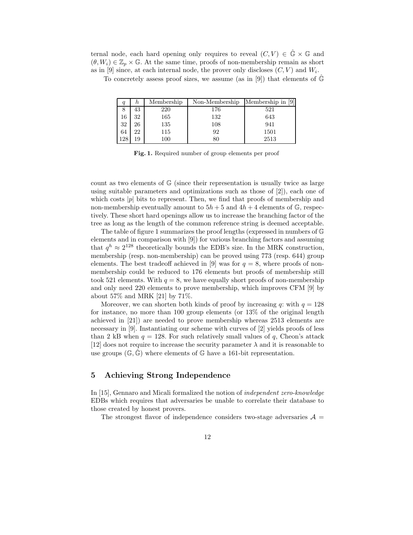ternal node, each hard opening only requires to reveal  $(C, V) \in \mathbb{G} \times \mathbb{G}$  and  $(\theta, W_i) \in \mathbb{Z}_p \times \mathbb{G}$ . At the same time, proofs of non-membership remain as short as in [9] since, at each internal node, the prover only discloses  $(C, V)$  and  $W_i$ .

To concretely assess proof sizes, we assume (as in [9]) that elements of  $\mathbb{G}$ 

|     | n  | Membership | Non-Membership | Membership in [9] |
|-----|----|------------|----------------|-------------------|
|     | 43 | 220        | 176            | 521               |
| 16  | 32 | 165        | 132            | 643               |
| 32  | 26 | 135        | 108            | 941               |
| 64  | 22 | 115        | 92             | 1501              |
| 128 | 19 | 100        |                | 2513              |

Fig. 1. Required number of group elements per proof

count as two elements of  $\mathbb{G}$  (since their representation is usually twice as large using suitable parameters and optimizations such as those of [2]), each one of which costs  $|p|$  bits to represent. Then, we find that proofs of membership and non-membership eventually amount to  $5h + 5$  and  $4h + 4$  elements of  $\mathbb{G}$ , respectively. These short hard openings allow us to increase the branching factor of the tree as long as the length of the common reference string is deemed acceptable.

The table of figure 1 summarizes the proof lengths (expressed in numbers of G elements and in comparison with [9]) for various branching factors and assuming that  $q^h \approx 2^{128}$  theoretically bounds the EDB's size. In the MRK construction, membership (resp. non-membership) can be proved using 773 (resp. 644) group elements. The best tradeoff achieved in [9] was for  $q = 8$ , where proofs of nonmembership could be reduced to 176 elements but proofs of membership still took 521 elements. With  $q = 8$ , we have equally short proofs of non-membership and only need 220 elements to prove membership, which improves CFM [9] by about 57% and MRK [21] by 71%.

Moreover, we can shorten both kinds of proof by increasing q: with  $q = 128$ for instance, no more than 100 group elements (or 13% of the original length achieved in [21]) are needed to prove membership whereas 2513 elements are necessary in [9]. Instantiating our scheme with curves of [2] yields proofs of less than 2 kB when  $q = 128$ . For such relatively small values of q, Cheon's attack [12] does not require to increase the security parameter  $\lambda$  and it is reasonable to use groups  $(\mathbb{G}, \tilde{\mathbb{G}})$  where elements of  $\mathbb{G}$  have a 161-bit representation.

## 5 Achieving Strong Independence

In [15], Gennaro and Micali formalized the notion of independent zero-knowledge EDBs which requires that adversaries be unable to correlate their database to those created by honest provers.

The strongest flavor of independence considers two-stage adversaries  $\mathcal{A} =$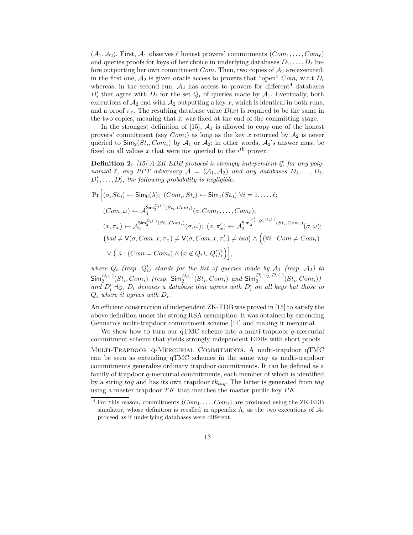$(\mathcal{A}_1, \mathcal{A}_2)$ . First,  $\mathcal{A}_1$  observes  $\ell$  honest provers' commitments  $(Com_1, \ldots, Com_\ell)$ and queries proofs for keys of her choice in underlying databases  $D_1, \ldots, D_\ell$  before outputting her own commitment Com. Then, two copies of  $A_2$  are executed: in the first one,  $A_2$  is given oracle access to provers that "open" Com<sub>i</sub> w.r.t  $D_i$ whereas, in the second run,  $A_2$  has access to provers for different<sup>4</sup> databases  $D'_i$  that agree with  $D_i$  for the set  $Q_i$  of queries made by  $\mathcal{A}_1$ . Eventually, both executions of  $A_2$  end with  $A_2$  outputting a key x, which is identical in both runs, and a proof  $\pi_x$ . The resulting database value  $D(x)$  is required to be the same in the two copies, meaning that it was fixed at the end of the committing stage.

In the strongest definition of [15],  $A_1$  is allowed to copy one of the honest provers' commitment (say  $Com_i$ ) as long as the key x returned by  $\mathcal{A}_2$  is never queried to  $\mathsf{Sim}_2(St_i, Com_i)$  by  $\mathcal{A}_1$  or  $\mathcal{A}_2$ : in other words,  $\mathcal{A}_2$ 's answer must be fixed on all values x that were not queried to the  $i<sup>th</sup>$  prover.

Definition 2. [15] A ZK-EDB protocol is strongly independent if, for any polynomial  $\ell$ , any PPT adversary  $\mathcal{A} = (\mathcal{A}_1, \mathcal{A}_2)$  and any databases  $D_1, \ldots, D_\ell$ ,  $D'_1, \ldots, D'_\ell$ , the following probability is negligible.

$$
\Pr\Big[(\sigma, St_0) \leftarrow \textsf{Sim}_0(\lambda); \ (Com_i, St_i) \leftarrow \textsf{Sim}_1(St_0) \ \forall i = 1, \dots, \ell; \\
(Com, \omega) \leftarrow \mathcal{A}_1^{\textsf{Sim}_2^{D_i(\cdot)}(St_i, Com_i)}(\sigma, Com_1, \dots, Com_\ell); \\
(x, \pi_x) \leftarrow \mathcal{A}_2^{\textsf{Sim}_2^{D_i(\cdot)}(St_i, Com_i)}(\sigma, \omega); \ (x, \pi'_x) \leftarrow \mathcal{A}_2^{\textsf{Sim}_2^{D'_i \dashv_{Q_i} D_i(\cdot)}(St_i, Com_i)}(\sigma, \omega); \\
(bad \neq \textsf{V}(\sigma, Com, x, \pi_x) \neq \textsf{V}(\sigma, Com, x, \pi'_x) \neq bad) \ \land \ \big( (\forall i: Com \neq Com_i) \\
\lor \ (\exists i: (Com = Com_i) \land (x \notin Q_i \cup Q'_i)) \big) \Big],
$$

where  $Q_i$  (resp.  $Q'_i$ ) stands for the list of queries made by  $A_1$  (resp.  $A_2$ ) to  $\mathsf{Sim}_2^{D_i(\cdot)}(\mathit{St}_i, \mathit{Com}_i)$  (resp.  $\mathsf{Sim}_2^{D_i(\cdot)}(\mathit{St}_i, \mathit{Com}_i)$  and  $\mathsf{Sim}_2^{D_i' \dashv_{Q_i} D_i(\cdot)}(\mathit{St}_i, \mathit{Com}_i)$ ) and  $D'_i \dashv_{Q_i} D_i$  denotes a database that agrees with  $D'_i$  on all keys but those in  $Q_i$  where it agrees with  $D_i$ .

An efficient construction of independent ZK-EDB was proved in [15] to satisfy the above definition under the strong RSA assumption. It was obtained by extending Gennaro's multi-trapdoor commitment scheme [14] and making it mercurial.

We show how to turn our qTMC scheme into a multi-trapdoor  $q$ -mercurial commitment scheme that yields strongly independent EDBs with short proofs.

Multi-Trapdoor q-Mercurial Commitments. A multi-trapdoor qTMC can be seen as extending qTMC schemes in the same way as multi-trapdoor commitments generalize ordinary trapdoor commitments. It can be defined as a family of trapdoor q-mercurial commitments, each member of which is identified by a string tag and has its own trapdoor  $tk_{tag}$ . The latter is generated from tag using a master trapdoor  $TK$  that matches the master public key  $PK$ .

<sup>&</sup>lt;sup>4</sup> For this reason, commitments  $(Com_1, \ldots, Com_\ell)$  are produced using the ZK-EDB simulator, whose definition is recalled in appendix A, as the two executions of  $A_2$ proceed as if underlying databases were different.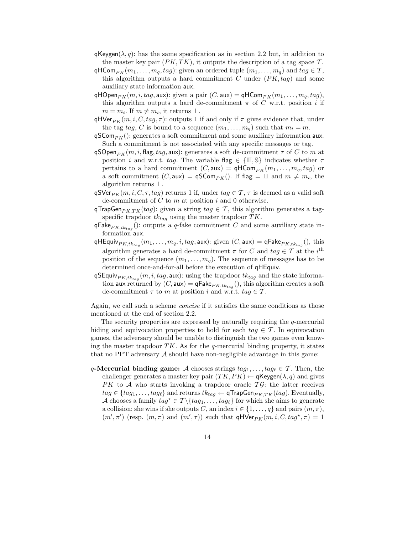- $qKeygen(\lambda, q)$ : has the same specification as in section 2.2 but, in addition to the master key pair  $(PK, TK)$ , it outputs the description of a tag space  $T$ .
- qHCom<sub>PK</sub> $(m_1, \ldots, m_q, tag)$ : given an ordered tuple  $(m_1, \ldots, m_q)$  and  $tag \in \mathcal{T}$ , this algorithm outputs a hard commitment C under  $(PK, tag)$  and some auxiliary state information aux.
- qHOpen $_{PK}(m, i, tag, \text{aux})$ : given a pair  $(C, \text{aux}) = \text{qHCom}_{PK}(m_1, \ldots, m_q, tag),$ this algorithm outputs a hard de-commitment  $\pi$  of C w.r.t. position i if  $m = m_i$ . If  $m \neq m_i$ , it returns  $\perp$ .
- qHVer $_{PK}(m, i, C, tag, \pi)$ : outputs 1 if and only if  $\pi$  gives evidence that, under the tag tag, C is bound to a sequence  $(m_1, \ldots, m_q)$  such that  $m_i = m$ .
- $qSCom_{PK}$ (): generates a soft commitment and some auxiliary information aux. Such a commitment is not associated with any specific messages or tag.
- qSOpen $_{PK}(m, i, \text{flag}, tag, \text{aux})$ : generates a soft de-commitment  $\tau$  of C to m at position i and w.r.t. tag. The variable flag  $\in \{\mathbb{H}, \mathbb{S}\}\$  indicates whether  $\tau$ pertains to a hard commitment  $(C, \text{aux}) = \text{qHCom}_{PK}(m_1, \ldots, m_q, tag)$  or a soft commitment  $(C, \text{aux}) = \text{qSCom}_{PK}()$ . If flag =  $\mathbb H$  and  $m \neq m_i$ , the algorithm returns ⊥.
- qSVer $_{PK}(m, i, C, \tau, tag)$  returns 1 if, under  $tag \in \mathcal{T}$ ,  $\tau$  is deemed as a valid soft de-commitment of  $C$  to  $m$  at position  $i$  and  $0$  otherwise.
- qTrapGen<sub>PK,TK</sub>(tag): given a string tag  $\in \mathcal{T}$ , this algorithm generates a tagspecific trapdoor  $tk_{tag}$  using the master trapdoor TK.
- $\mathsf{qFake}_{PK,tk_{tag}}()$ : outputs a q-fake commitment C and some auxiliary state information aux.
- $\mathsf{qHEquiv}_{PK,tk_{tag}}(m_1,\ldots,m_q,i,tag,\mathsf{aux})$ : given  $(C,\mathsf{aux})=\mathsf{qFake}_{PK,tk_{tag}}(),$  this algorithm generates a hard de-commitment  $\pi$  for C and  $tag \in \mathcal{T}$  at the i<sup>th</sup> position of the sequence  $(m_1, \ldots, m_q)$ . The sequence of messages has to be determined once-and-for-all before the execution of qHEquiv.
- qSEquiv $p_{K,tk_{tag}}(m, i, tag, \textsf{aux})$ : using the trapdoor  $tk_{tag}$  and the state information aux returned by  $(C, {\sf aux}) = {\sf q}$ Fake $_{PK,tk_{tag}}( ),$  this algorithm creates a soft de-commitment  $\tau$  to m at position i and w.r.t.  $tag \in \mathcal{T}$ .

Again, we call such a scheme concise if it satisfies the same conditions as those mentioned at the end of section 2.2.

The security properties are expressed by naturally requiring the  $q$ -mercurial hiding and equivocation properties to hold for each  $tag \in \mathcal{T}$ . In equivocation games, the adversary should be unable to distinguish the two games even knowing the master trapdoor  $TK$ . As for the q-mercurial binding property, it states that no PPT adversary A should have non-negligible advantage in this game:

q-Mercurial binding game: A chooses strings  $tag_1, \ldots, tag_\ell \in \mathcal{T}$ . Then, the challenger generates a master key pair  $(TK, PK) \leftarrow \mathsf{qKeygen}(\lambda, q)$  and gives PK to A who starts invoking a trapdoor oracle  $\mathcal{T}\mathcal{G}$ : the latter receives  $tag \in \{tag_1,...,tag_\ell\}$  and returns  $tk_{tag} \leftarrow \mathsf{qTrapGen}_{PK,TK}(tag)$ . Eventually, A chooses a family  $tag^* \in \mathcal{T} \setminus \{tag_1, \ldots, tag_\ell\}$  for which she aims to generate a collision: she wins if she outputs C, an index  $i \in \{1, \ldots, q\}$  and pairs  $(m, \pi)$ ,  $(m', \pi')$  (resp.  $(m, \pi)$  and  $(m', \tau))$  such that  $\mathsf{qHVer}_{PK}(m, i, C, tag^{\star}, \pi) = 1$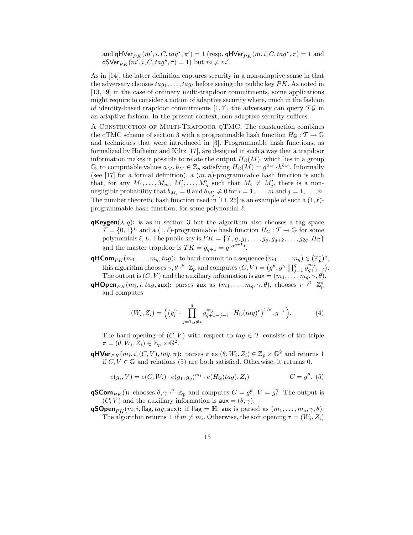and  $\mathsf{qHVer}_{PK}(m',i,C,tag^\star,\pi') = 1$  (resp.  $\mathsf{qHVer}_{PK}(m,i,C,tag^\star,\pi) = 1$  and qSVer $_{PK}(m', i, C, tag^*, \tau) = 1)$  but  $m \neq m'.$ 

As in [14], the latter definition captures security in a non-adaptive sense in that the adversary chooses  $tag_1, \ldots, tag_\ell$  before seeing the public key PK. As noted in [13, 19] in the case of ordinary multi-trapdoor commitments, some applications might require to consider a notion of adaptive security where, much in the fashion of identity-based trapdoor commitments [1, 7], the adversary can query  $\mathcal{T}\mathcal{G}$  in an adaptive fashion. In the present context, non-adaptive security suffices.

A Construction of Multi-Trapdoor qTMC. The construction combines the qTMC scheme of section 3 with a programmable hash function  $H_{\mathbb{G}} : \mathcal{T} \to \mathbb{G}$ and techniques that were introduced in [3]. Programmable hash functions, as formalized by Hofheinz and Kiltz [17], are designed in such a way that a trapdoor information makes it possible to relate the output  $H_{\mathbb{G}}(M)$ , which lies in a group  $\mathbb{G}$ , to computable values  $a_M, b_M \in \mathbb{Z}_p$  satisfying  $H_{\mathbb{G}}(M) = g^{a_M} \cdot h^{b_M}$ . Informally (see [17] for a formal definition), a  $(m, n)$ -programmable hash function is such that, for any  $M_1, \ldots, M_m, M'_1, \ldots, M'_n$  such that  $M_i \neq M'_j$ , there is a nonnegligible probability that  $b_{M_i} = 0$  and  $b_{M'_j} \neq 0$  for  $i = 1, \ldots, m$  and  $j = 1, \ldots, n$ . The number theoretic hash function used in [11, 25] is an example of such a  $(1, \ell)$ programmable hash function, for some polynomial  $\ell$ .

- **qKeygen**( $\lambda$ , q): is as in section 3 but the algorithm also chooses a tag space  $\mathcal{T} = \{0,1\}^L$  and a  $(1,\ell)$ -programmable hash function  $H_{\mathbb{G}} : \mathcal{T} \to \mathbb{G}$  for some polynomials  $\ell, L$ . The public key is  $PK = \{T, g, g_1, \ldots, g_q, g_{q+2}, \ldots, g_{2q}, H_{\mathbb{G}}\}$ and the master trapdoor is  $TK = g_{q+1} = g^{(\alpha^{q+1})}$ .
- qHCom $P_K(m_1, \ldots, m_q, tag)$ : to hard-commit to a sequence  $(m_1, \ldots, m_q) \in (\mathbb{Z}_p^*)^q$ , this algorithm chooses  $\gamma, \theta \stackrel{R}{\leftarrow} \mathbb{Z}_p$  and computes  $(C, V) = (g^{\theta}, g^{\gamma} \cdot \prod_{j=1}^q g_{q+1-j}^{m_j})$ . The output is  $(C, V)$  and the auxiliary information is  $aux = (m_1, \ldots, m_q, \gamma, \theta)$ .
- **qHOpen** $_{PK}(m_i,i,tag,$  aux): parses aux as  $(m_1,\ldots,m_q,\gamma,\theta),$  chooses  $r \triangleq \mathbb{Z}_p^*$ and computes

$$
(W_i, Z_i) = \left( \left( g_i^{\gamma} \cdot \prod_{j=1, j \neq i}^q g_{q+1-j+i}^{m_j} \cdot H_{\mathbb{G}}(tag)^r \right)^{1/\theta}, g^{-r} \right), \tag{4}
$$

The hard opening of  $(C, V)$  with respect to  $taq \in \mathcal{T}$  consists of the triple  $\pi = (\theta, W_i, Z_i) \in \mathbb{Z}_p \times \mathbb{G}^2.$ 

**qHVer**<sub>PK</sub> $(m_i, i, (C, V), tag, \pi)$ : parses  $\pi$  as  $(\theta, W_i, Z_i) \in \mathbb{Z}_p \times \mathbb{G}^2$  and returns 1 if  $C, V \in \mathbb{G}$  and relations (5) are both satisfied. Otherwise, it returns 0.

$$
e(g_i, V) = e(C, W_i) \cdot e(g_1, g_q)^{m_i} \cdot e(H_{\mathbb{G}}(tag), Z_i) \qquad C = g^{\theta}.
$$
 (5)

**qSCom** $_{PK}$ (): chooses  $\theta, \gamma \stackrel{R}{\leftarrow} \mathbb{Z}_p$  and computes  $C = g_1^{\theta}, V = g_1^{\gamma}$ . The output is  $(C, V)$  and the auxiliary information is aux =  $(\theta, \gamma)$ .

**qSOpen**<sub>PK</sub> $(m, i, \text{flag}, tag, \text{aux})$ : if flag = H, aux is parsed as  $(m_1, \ldots, m_q, \gamma, \theta)$ . The algorithm returns  $\perp$  if  $m \neq m_i$ . Otherwise, the soft opening  $\tau = (W_i, Z_i)$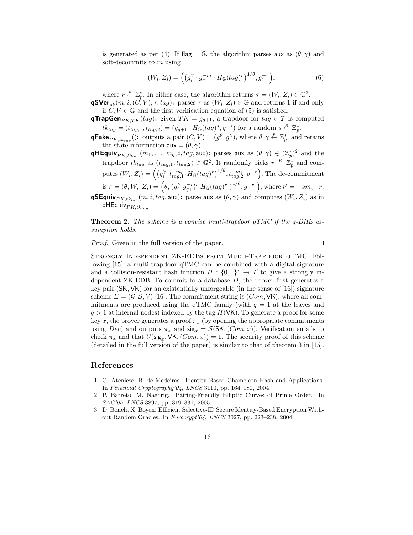is generated as per (4). If flag = S, the algorithm parses aux as  $(\theta, \gamma)$  and soft-decommits to  $m$  using

$$
(W_i, Z_i) = \left( \left( g_i^{\gamma} \cdot g_q^{-m} \cdot H_{\mathbb{G}}(tag)^r \right)^{1/\theta}, g_1^{-r} \right),\tag{6}
$$

where  $r \stackrel{R}{\leftarrow} \mathbb{Z}_p^*$ . In either case, the algorithm returns  $\tau = (W_i, Z_i) \in \mathbb{G}^2$ .

 $\mathsf{qSVer}_{pk}(m, i, (C, V), \tau, tag)$ : parses  $\tau$  as  $(W_i, Z_i) \in \mathbb{G}$  and returns 1 if and only if  $C, V \in \mathbb{G}$  and the first verification equation of (5) is satisfied.

**qTrapGen**<sub>PK,TK</sub>(tag): given  $TK = g_{q+1}$ , a trapdoor for tag  $\in \mathcal{T}$  is computed  $tk_{tag} = (t_{tag,1}, t_{tag,2}) = (g_{q+1} \cdot H_{\mathbb{G}}(tag)^s, g^{-s})$  for a random  $s \stackrel{R}{\leftarrow} \mathbb{Z}_p^*$ .

**qFake**<sub>PK,tk<sub>tag</sub>(): outputs a pair  $(C, V) = (g^{\theta}, g^{\gamma})$ , where  $\theta, \gamma \stackrel{R}{\leftarrow} \mathbb{Z}_p^*$ , and retains</sub> the state information  $aux = (\theta, \gamma)$ .

- **qHEquiv** $_{PK,tk_{tag}}(m_1,\ldots,m_q,i,tag,$  aux): parses aux as  $(\theta,\gamma)\in (\mathbb{Z}_p^*)^2$  and the trapdoor  $tk_{tag}$  as  $(t_{tag,1}, t_{tag,2}) \in \mathbb{G}^2$ . It randomly picks  $r \stackrel{R}{\leftarrow} \mathbb{Z}_p^*$  and computes  $(W_i, Z_i) = \left( \left( g_i^{\gamma} \cdot t_{tag,1}^{-m_i} \cdot H_{\mathbb{G}} (tag)^r \right)^{1/\theta}, t_{tag,2}^{-m_i} \cdot g^{-r} \right)$ . The de-commitment  $\mathrm{d}s~\pi=(\theta,W_i,Z_i)=\Big(\theta,\big(g_i^\gamma\!\cdot\! g_{q+1}^{-m_i}\!\cdot\! H_{\mathbb{G}}(tag)^{r'}\big)^{1/\theta},g^{-r'}\Big),\,\mathrm{where}\,r'=-sm_i\!+\!r.\nonumber$
- **qSEquiv** $_{PK,tk_{tag}}(m,i,tag,$  aux): parse aux as  $(\theta,\gamma)$  and computes  $(W_i,Z_i)$  as in qHEquiv $\overline{P_{K,tk_{tag}}}$  .

**Theorem 2.** The scheme is a concise multi-trapdoor  $qTMC$  if the  $q-DHE$  assumption holds.

*Proof.* Given in the full version of the paper. □

Strongly Independent ZK-EDBs from Multi-Trapdoor qTMC. Following [15], a multi-trapdoor qTMC can be combined with a digital signature and a collision-resistant hash function  $H: \{0,1\}^* \to \mathcal{T}$  to give a strongly independent  $ZK-EDB$ . To commit to a database  $D$ , the prover first generates a key pair  $(SK, VK)$  for an existentially unforgeable (in the sense of [16]) signature scheme  $\Sigma = (\mathcal{G}, \mathcal{S}, \mathcal{V})$  [16]. The commitment string is  $(Com, \mathsf{VK})$ , where all commitments are produced using the qTMC family (with  $q = 1$  at the leaves and  $q > 1$  at internal nodes) indexed by the tag  $H(VK)$ . To generate a proof for some key x, the prover generates a proof  $\pi_x$  (by opening the appropriate commitments using Dec) and outputs  $\pi_x$  and  $sig_x = \mathcal{S}(SK, (Com, x))$ . Verification entails to check  $\pi_x$  and that  $V(\text{sig}_x, \text{VK}, (Com, x)) = 1$ . The security proof of this scheme (detailed in the full version of the paper) is similar to that of theorem 3 in [15].

#### References

- 1. G. Ateniese, B. de Medeiros. Identity-Based Chameleon Hash and Applications. In Financial Cryptography'04, LNCS 3110, pp. 164–180, 2004.
- 2. P. Barreto, M. Naehrig. Pairing-Friendly Elliptic Curves of Prime Order. In SAC'05, LNCS 3897, pp. 319–331, 2005.
- 3. D. Boneh, X. Boyen. Efficient Selective-ID Secure Identity-Based Encryption Without Random Oracles. In Eurocrypt'04, LNCS 3027, pp. 223–238, 2004.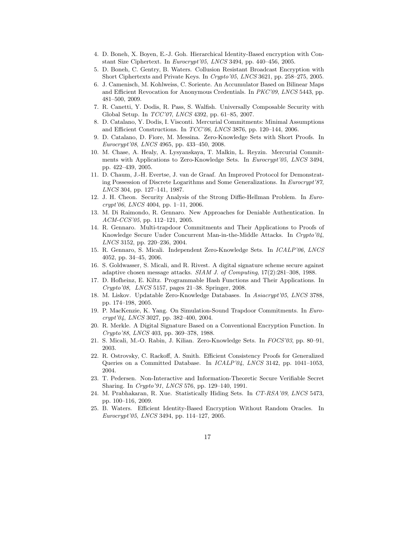- 4. D. Boneh, X. Boyen, E.-J. Goh. Hierarchical Identity-Based encryption with Constant Size Ciphertext. In Eurocrypt'05, LNCS 3494, pp. 440–456, 2005.
- 5. D. Boneh, C. Gentry, B. Waters. Collusion Resistant Broadcast Encryption with Short Ciphertexts and Private Keys. In Crypto'05, LNCS 3621, pp. 258–275, 2005.
- 6. J. Camenisch, M. Kohlweiss, C. Soriente. An Accumulator Based on Bilinear Maps and Efficient Revocation for Anonymous Credentials. In PKC'09, LNCS 5443, pp. 481–500, 2009.
- 7. R. Canetti, Y. Dodis, R. Pass, S. Walfish. Universally Composable Security with Global Setup. In TCC'07, LNCS 4392, pp. 61–85, 2007.
- 8. D. Catalano, Y. Dodis, I. Visconti. Mercurial Commitments: Minimal Assumptions and Efficient Constructions. In TCC'06, LNCS 3876, pp. 120–144, 2006.
- 9. D. Catalano, D. Fiore, M. Messina. Zero-Knowledge Sets with Short Proofs. In Eurocrypt'08, LNCS 4965, pp. 433–450, 2008.
- 10. M. Chase, A. Healy, A. Lysyanskaya, T. Malkin, L. Reyzin. Mercurial Commitments with Applications to Zero-Knowledge Sets. In Eurocrypt'05, LNCS 3494, pp. 422–439, 2005.
- 11. D. Chaum, J.-H. Evertse, J. van de Graaf. An Improved Protocol for Demonstrating Possession of Discrete Logarithms and Some Generalizations. In Eurocrypt'87, LNCS 304, pp. 127–141, 1987.
- 12. J. H. Cheon. Security Analysis of the Strong Diffie-Hellman Problem. In Eurocrypt'06, LNCS 4004, pp. 1–11, 2006.
- 13. M. Di Raimondo, R. Gennaro. New Approaches for Deniable Authentication. In ACM-CCS'05, pp. 112–121, 2005.
- 14. R. Gennaro. Multi-trapdoor Commitments and Their Applications to Proofs of Knowledge Secure Under Concurrent Man-in-the-Middle Attacks. In Crypto'04, LNCS 3152, pp. 220–236, 2004.
- 15. R. Gennaro, S. Micali. Independent Zero-Knowledge Sets. In ICALP'06, LNCS 4052, pp. 34–45, 2006.
- 16. S. Goldwasser, S. Micali, and R. Rivest. A digital signature scheme secure against adaptive chosen message attacks. SIAM J. of Computing, 17(2):281–308, 1988.
- 17. D. Hofheinz, E. Kiltz. Programmable Hash Functions and Their Applications. In Crypto'08, LNCS 5157, pages 21–38. Springer, 2008.
- 18. M. Liskov. Updatable Zero-Knowledge Databases. In Asiacrypt'05, LNCS 3788, pp. 174–198, 2005.
- 19. P. MacKenzie, K. Yang. On Simulation-Sound Trapdoor Commitments. In Eurocrypt'04, LNCS 3027, pp. 382–400, 2004.
- 20. R. Merkle. A Digital Signature Based on a Conventional Encryption Function. In Crypto'88, LNCS 403, pp. 369–378, 1988.
- 21. S. Micali, M.-O. Rabin, J. Kilian. Zero-Knowledge Sets. In FOCS'03, pp. 80–91, 2003.
- 22. R. Ostrovsky, C. Rackoff, A. Smith. Efficient Consistency Proofs for Generalized Queries on a Committed Database. In ICALP'04, LNCS 3142, pp. 1041–1053, 2004.
- 23. T. Pedersen. Non-Interactive and Information-Theoretic Secure Verifiable Secret Sharing. In Crypto'91, LNCS 576, pp. 129–140, 1991.
- 24. M. Prabhakaran, R. Xue. Statistically Hiding Sets. In CT-RSA'09, LNCS 5473, pp. 100–116, 2009.
- 25. B. Waters. Efficient Identity-Based Encryption Without Random Oracles. In Eurocrypt'05, LNCS 3494, pp. 114–127, 2005.